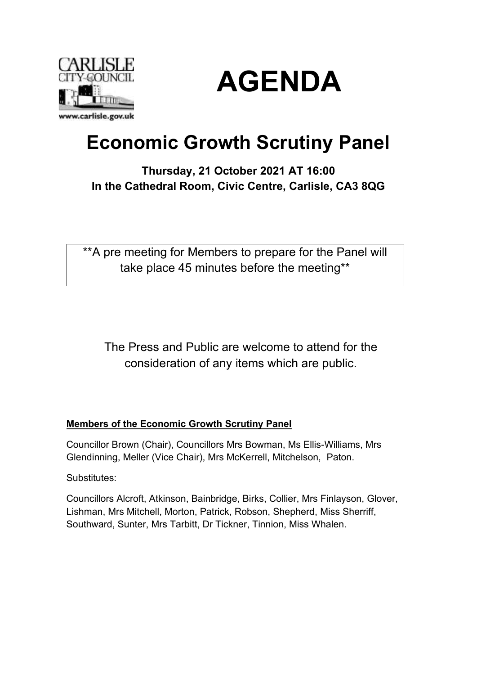



# **Economic Growth Scrutiny Panel**

## **Thursday, 21 October 2021 AT 16:00 In the Cathedral Room, Civic Centre, Carlisle, CA3 8QG**

\*\*A pre meeting for Members to prepare for the Panel will take place 45 minutes before the meeting\*\*

The Press and Public are welcome to attend for the consideration of any items which are public.

### **Members of the Economic Growth Scrutiny Panel**

Councillor Brown (Chair), Councillors Mrs Bowman, Ms Ellis-Williams, Mrs Glendinning, Meller (Vice Chair), Mrs McKerrell, Mitchelson, Paton.

Substitutes:

Councillors Alcroft, Atkinson, Bainbridge, Birks, Collier, Mrs Finlayson, Glover, Lishman, Mrs Mitchell, Morton, Patrick, Robson, Shepherd, Miss Sherriff, Southward, Sunter, Mrs Tarbitt, Dr Tickner, Tinnion, Miss Whalen.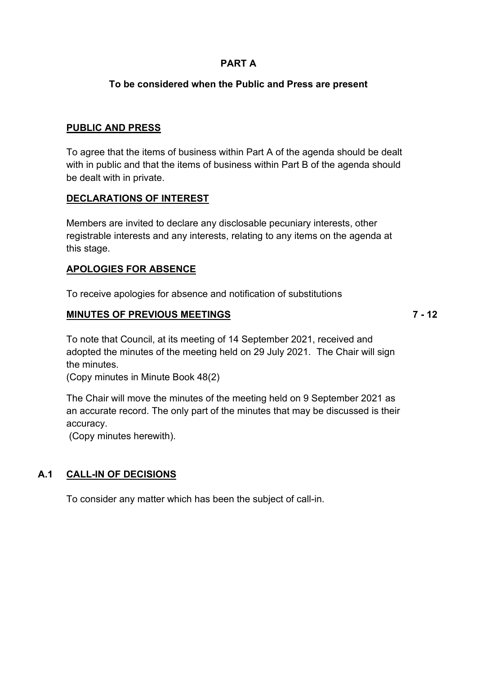#### **PART A**

#### **To be considered when the Public and Press are present**

#### **PUBLIC AND PRESS**

To agree that the items of business within Part A of the agenda should be dealt with in public and that the items of business within Part B of the agenda should be dealt with in private.

#### **DECLARATIONS OF INTEREST**

Members are invited to declare any disclosable pecuniary interests, other registrable interests and any interests, relating to any items on the agenda at this stage.

#### **APOLOGIES FOR ABSENCE**

To receive apologies for absence and notification of substitutions

#### **MINUTES OF PREVIOUS MEETINGS**

**7 - 12**

To note that Council, at its meeting of 14 September 2021, received and adopted the minutes of the meeting held on 29 July 2021. The Chair will sign the minutes.

(Copy minutes in Minute Book 48(2)

The Chair will move the minutes of the meeting held on 9 September 2021 as an accurate record. The only part of the minutes that may be discussed is their accuracy.

(Copy minutes herewith).

### **A.1 CALL-IN OF DECISIONS**

To consider any matter which has been the subject of call-in.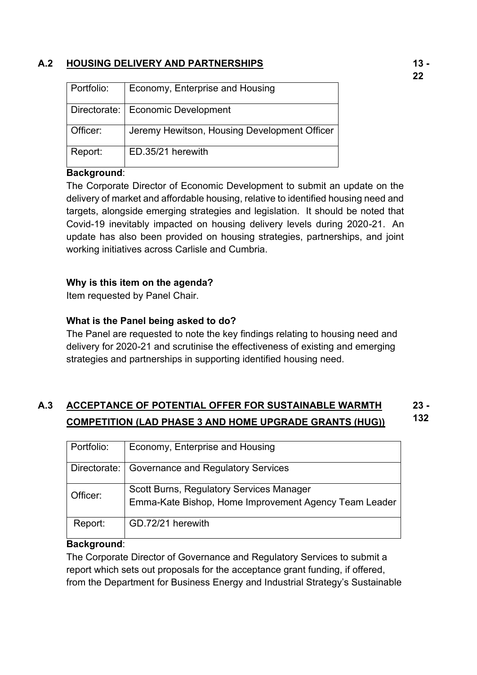### **A.2 HOUSING DELIVERY AND PARTNERSHIPS**

| Portfolio: | Economy, Enterprise and Housing              |
|------------|----------------------------------------------|
|            |                                              |
|            |                                              |
|            |                                              |
|            |                                              |
|            | Directorate:   Economic Development          |
|            |                                              |
|            |                                              |
|            |                                              |
| Officer:   | Jeremy Hewitson, Housing Development Officer |
|            |                                              |
|            |                                              |
|            |                                              |
| Report:    | ED.35/21 herewith                            |
|            |                                              |
|            |                                              |

#### **Background**:

The Corporate Director of Economic Development to submit an update on the delivery of market and affordable housing, relative to identified housing need and targets, alongside emerging strategies and legislation. It should be noted that Covid-19 inevitably impacted on housing delivery levels during 2020-21. An update has also been provided on housing strategies, partnerships, and joint working initiatives across Carlisle and Cumbria.

#### **Why is this item on the agenda?**

Item requested by Panel Chair.

#### **What is the Panel being asked to do?**

The Panel are requested to note the key findings relating to housing need and delivery for 2020-21 and scrutinise the effectiveness of existing and emerging strategies and partnerships in supporting identified housing need.

#### **A.3 ACCEPTANCE OF POTENTIAL OFFER FOR SUSTAINABLE WARMTH COMPETITION (LAD PHASE 3 AND HOME UPGRADE GRANTS (HUG)) 23 - 132**

| Portfolio:   | Economy, Enterprise and Housing                                                                          |
|--------------|----------------------------------------------------------------------------------------------------------|
| Directorate: | Governance and Regulatory Services                                                                       |
| Officer:     | <b>Scott Burns, Regulatory Services Manager</b><br>Emma-Kate Bishop, Home Improvement Agency Team Leader |
| Report:      | GD.72/21 herewith                                                                                        |

#### **Background**:

The Corporate Director of Governance and Regulatory Services to submit a report which sets out proposals for the acceptance grant funding, if offered, from the Department for Business Energy and Industrial Strategy's Sustainable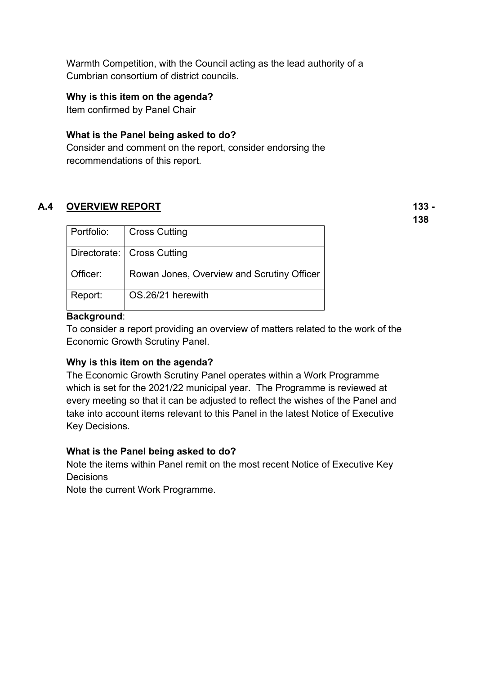Warmth Competition, with the Council acting as the lead authority of a Cumbrian consortium of district councils.

#### **Why is this item on the agenda?**

Item confirmed by Panel Chair

#### **What is the Panel being asked to do?**

Consider and comment on the report, consider endorsing the recommendations of this report.

#### **A.4 OVERVIEW REPORT**

**133 - 138**

| Portfolio: | <b>Cross Cutting</b>                       |
|------------|--------------------------------------------|
|            | Directorate:   Cross Cutting               |
| Officer:   | Rowan Jones, Overview and Scrutiny Officer |
| Report:    | OS.26/21 herewith                          |

#### **Background**:

To consider a report providing an overview of matters related to the work of the Economic Growth Scrutiny Panel.

#### **Why is this item on the agenda?**

The Economic Growth Scrutiny Panel operates within a Work Programme which is set for the 2021/22 municipal year. The Programme is reviewed at every meeting so that it can be adjusted to reflect the wishes of the Panel and take into account items relevant to this Panel in the latest Notice of Executive Key Decisions.

#### **What is the Panel being asked to do?**

Note the items within Panel remit on the most recent Notice of Executive Key **Decisions** 

Note the current Work Programme.